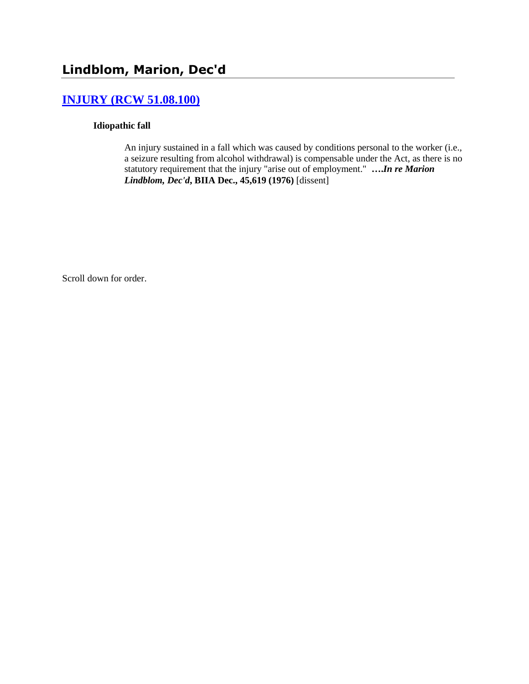# **[INJURY \(RCW 51.08.100\)](http://www.biia.wa.gov/SDSubjectIndex.html#INJURY)**

### **Idiopathic fall**

An injury sustained in a fall which was caused by conditions personal to the worker (i.e., a seizure resulting from alcohol withdrawal) is compensable under the Act, as there is no statutory requirement that the injury "arise out of employment." **….***In re Marion Lindblom, Dec'd***, BIIA Dec., 45,619 (1976)** [dissent]

Scroll down for order.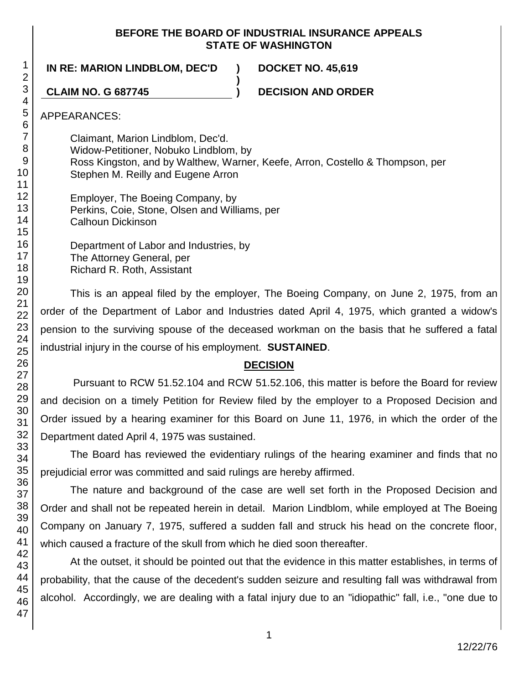### **BEFORE THE BOARD OF INDUSTRIAL INSURANCE APPEALS STATE OF WASHINGTON**

**IN RE: MARION LINDBLOM, DEC'D ) DOCKET NO. 45,619**

**CLAIM NO. G 687745 ) DECISION AND ORDER**

APPEARANCES:

Claimant, Marion Lindblom, Dec'd. Widow-Petitioner, Nobuko Lindblom, by Ross Kingston, and by Walthew, Warner, Keefe, Arron, Costello & Thompson, per Stephen M. Reilly and Eugene Arron

**)**

Employer, The Boeing Company, by Perkins, Coie, Stone, Olsen and Williams, per Calhoun Dickinson

Department of Labor and Industries, by The Attorney General, per Richard R. Roth, Assistant

This is an appeal filed by the employer, The Boeing Company, on June 2, 1975, from an order of the Department of Labor and Industries dated April 4, 1975, which granted a widow's pension to the surviving spouse of the deceased workman on the basis that he suffered a fatal industrial injury in the course of his employment. **SUSTAINED**.

# **DECISION**

Pursuant to RCW 51.52.104 and RCW 51.52.106, this matter is before the Board for review and decision on a timely Petition for Review filed by the employer to a Proposed Decision and Order issued by a hearing examiner for this Board on June 11, 1976, in which the order of the Department dated April 4, 1975 was sustained.

The Board has reviewed the evidentiary rulings of the hearing examiner and finds that no prejudicial error was committed and said rulings are hereby affirmed.

The nature and background of the case are well set forth in the Proposed Decision and Order and shall not be repeated herein in detail. Marion Lindblom, while employed at The Boeing Company on January 7, 1975, suffered a sudden fall and struck his head on the concrete floor, which caused a fracture of the skull from which he died soon thereafter.

At the outset, it should be pointed out that the evidence in this matter establishes, in terms of probability, that the cause of the decedent's sudden seizure and resulting fall was withdrawal from alcohol. Accordingly, we are dealing with a fatal injury due to an "idiopathic" fall, i.e., "one due to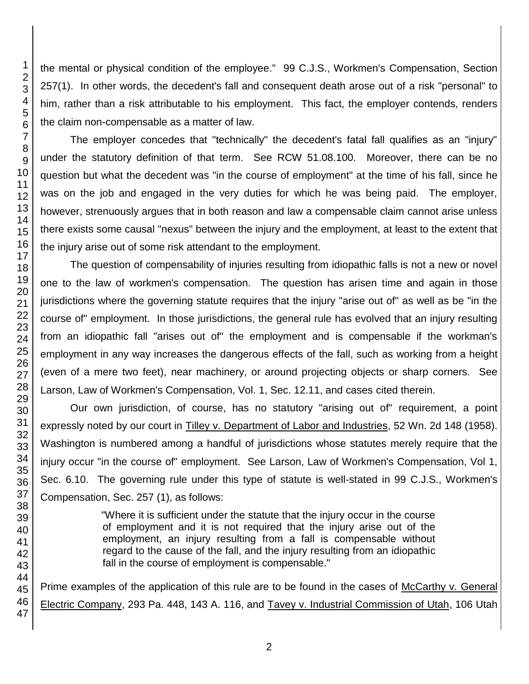the mental or physical condition of the employee." 99 C.J.S., Workmen's Compensation, Section 257(1). In other words, the decedent's fall and consequent death arose out of a risk "personal" to him, rather than a risk attributable to his employment. This fact, the employer contends, renders the claim non-compensable as a matter of law.

The employer concedes that "technically" the decedent's fatal fall qualifies as an "injury" under the statutory definition of that term. See RCW 51.08.100. Moreover, there can be no question but what the decedent was "in the course of employment" at the time of his fall, since he was on the job and engaged in the very duties for which he was being paid. The employer, however, strenuously argues that in both reason and law a compensable claim cannot arise unless there exists some causal "nexus" between the injury and the employment, at least to the extent that the injury arise out of some risk attendant to the employment.

The question of compensability of injuries resulting from idiopathic falls is not a new or novel one to the law of workmen's compensation. The question has arisen time and again in those jurisdictions where the governing statute requires that the injury "arise out of" as well as be "in the course of" employment. In those jurisdictions, the general rule has evolved that an injury resulting from an idiopathic fall "arises out of" the employment and is compensable if the workman's employment in any way increases the dangerous effects of the fall, such as working from a height (even of a mere two feet), near machinery, or around projecting objects or sharp corners. See Larson, Law of Workmen's Compensation, Vol. 1, Sec. 12.11, and cases cited therein.

Our own jurisdiction, of course, has no statutory "arising out of" requirement, a point expressly noted by our court in Tilley v. Department of Labor and Industries, 52 Wn. 2d 148 (1958). Washington is numbered among a handful of jurisdictions whose statutes merely require that the injury occur "in the course of" employment. See Larson, Law of Workmen's Compensation, Vol 1, Sec. 6.10. The governing rule under this type of statute is well-stated in 99 C.J.S., Workmen's Compensation, Sec. 257 (1), as follows:

> "Where it is sufficient under the statute that the injury occur in the course of employment and it is not required that the injury arise out of the employment, an injury resulting from a fall is compensable without regard to the cause of the fall, and the injury resulting from an idiopathic fall in the course of employment is compensable."

Prime examples of the application of this rule are to be found in the cases of McCarthy v. General Electric Company, 293 Pa. 448, 143 A. 116, and Tavey v. Industrial Commission of Utah, 106 Utah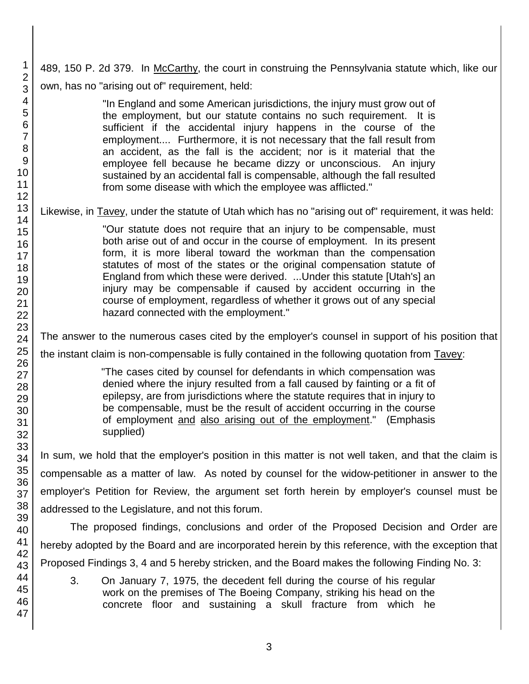489, 150 P. 2d 379. In McCarthy, the court in construing the Pennsylvania statute which, like our own, has no "arising out of" requirement, held:

> "In England and some American jurisdictions, the injury must grow out of the employment, but our statute contains no such requirement. It is sufficient if the accidental injury happens in the course of the employment.... Furthermore, it is not necessary that the fall result from an accident, as the fall is the accident; nor is it material that the employee fell because he became dizzy or unconscious. An injury sustained by an accidental fall is compensable, although the fall resulted from some disease with which the employee was afflicted."

Likewise, in Tavey, under the statute of Utah which has no "arising out of" requirement, it was held:

"Our statute does not require that an injury to be compensable, must both arise out of and occur in the course of employment. In its present form, it is more liberal toward the workman than the compensation statutes of most of the states or the original compensation statute of England from which these were derived. ...Under this statute [Utah's] an injury may be compensable if caused by accident occurring in the course of employment, regardless of whether it grows out of any special hazard connected with the employment."

The answer to the numerous cases cited by the employer's counsel in support of his position that

the instant claim is non-compensable is fully contained in the following quotation from Tavey:

"The cases cited by counsel for defendants in which compensation was denied where the injury resulted from a fall caused by fainting or a fit of epilepsy, are from jurisdictions where the statute requires that in injury to be compensable, must be the result of accident occurring in the course of employment and also arising out of the employment." (Emphasis supplied)

In sum, we hold that the employer's position in this matter is not well taken, and that the claim is compensable as a matter of law. As noted by counsel for the widow-petitioner in answer to the employer's Petition for Review, the argument set forth herein by employer's counsel must be addressed to the Legislature, and not this forum.

The proposed findings, conclusions and order of the Proposed Decision and Order are hereby adopted by the Board and are incorporated herein by this reference, with the exception that Proposed Findings 3, 4 and 5 hereby stricken, and the Board makes the following Finding No. 3:

3. On January 7, 1975, the decedent fell during the course of his regular work on the premises of The Boeing Company, striking his head on the concrete floor and sustaining a skull fracture from which he